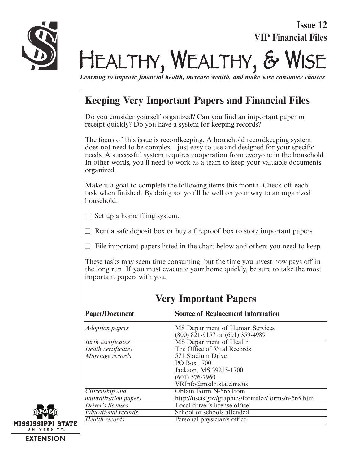**Issue 12 VIP Financial Files**



 $HEALTHY, WEALTHY, \delta Y$ 

*Learning to improve financial health, increase wealth, and make wise consumer choices*

# **Keeping Very Important Papers and Financial Files**

Do you consider yourself organized? Can you find an important paper or receipt quickly? Do you have a system for keeping records?

The focus of this issue is recordkeeping. A household recordkeeping system does not need to be complex—just easy to use and designed for your specific needs. A successful system requires cooperation from everyone in the household. In other words, you'll need to work as a team to keep your valuable documents organized.

Make it a goal to complete the following items this month. Check off each task when finished. By doing so, you'll be well on your way to an organized household.

- $\Box$  Set up a home filing system.
- $\Box$  Rent a safe deposit box or buy a fireproof box to store important papers.
- $\Box$  File important papers listed in the chart below and others you need to keep.

These tasks may seem time consuming, but the time you invest now pays off in the long run. If you must evacuate your home quickly, be sure to take the most important papers with you.

| <b>Paper/Document</b>      | <b>Source of Replacement Information</b>                            |
|----------------------------|---------------------------------------------------------------------|
| <i>Adoption papers</i>     | MS Department of Human Services<br>(800) 821-9157 or (601) 359-4989 |
| <b>Birth certificates</b>  | <b>MS</b> Department of Health                                      |
| Death certificates         | The Office of Vital Records                                         |
| Marriage records           | 571 Stadium Drive                                                   |
|                            | PO Box 1700                                                         |
|                            | Jackson, MS 39215-1700                                              |
|                            | $(601)$ 576-7960                                                    |
|                            | VRInfo@msdh.state.ms.us                                             |
| Citizenship and            | Obtain Form N-565 from                                              |
| naturalization papers      | http://uscis.gov/graphics/formsfee/forms/n-565.htm                  |
| Driver's licenses          | Local driver's license office                                       |
| <b>Educational records</b> | School or schools attended                                          |
| Health records             | Personal physician's office                                         |
|                            |                                                                     |

### **Very Important Papers**

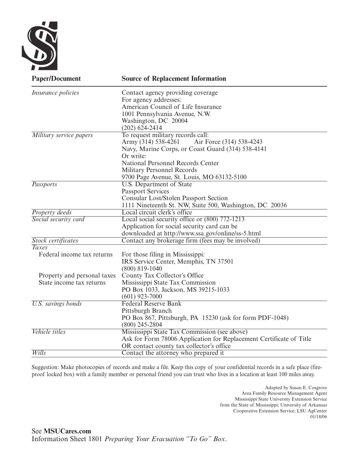

| <b>Paper/Document</b>       | <b>Source of Replacement Information</b>                            |
|-----------------------------|---------------------------------------------------------------------|
| <i>Insurance policies</i>   | Contact agency providing coverage                                   |
|                             | For agency addresses:                                               |
|                             | American Council of Life Insurance                                  |
|                             | 1001 Pennsylvania Avenue, N.W.                                      |
|                             | Washington, DC 20004                                                |
|                             | $(202)$ 624-2414                                                    |
| Military service papers     | To request military records call:                                   |
|                             | Army (314) 538-4261<br>Air Force (314) 538-4243                     |
|                             | Navy, Marine Corps, or Coast Guard (314) 538-4141                   |
|                             | Or write:                                                           |
|                             | National Personnel Records Center                                   |
|                             | Military Personnel Records                                          |
|                             | 9700 Page Avenue, St. Louis, MO 63132-5100                          |
| <b>Passports</b>            | <b>U.S. Department of State</b>                                     |
|                             | <b>Passport Services</b>                                            |
|                             | Consular Lost/Stolen Passport Section                               |
|                             | 1111 Nineteenth St. NW, Suite 500, Washington, DC 20036             |
| <b>Property deeds</b>       | Local circuit clerk's office                                        |
| Social security card        | Local social security office or (800) 772-1213                      |
|                             | Application for social security card can be                         |
|                             | downloaded at http://www.ssa.gov/online/ss-5.html                   |
| Stock certificates          | Contact any brokerage firm (fees may be involved)                   |
| <b>Taxes</b>                |                                                                     |
| Federal income tax returns  | For those filing in Mississippi:                                    |
|                             | IRS Service Center, Memphis, TN 37501                               |
|                             | $(800) 819 - 1040$                                                  |
| Property and personal taxes | County Tax Collector's Office                                       |
| State income tax returns    | Mississippi State Tax Commission                                    |
|                             | PO Box 1033, Jackson, MS 39215-1033                                 |
|                             | $(601)$ 923-7000                                                    |
| <b>U.S.</b> savings bonds   | <b>Federal Reserve Bank</b>                                         |
|                             | Pittsburgh Branch                                                   |
|                             | PO Box 867, Pittsburgh, PA 15230 (ask for form PDF-1048)            |
|                             | $(800)$ 245-2804                                                    |
| Vehicle titles              | Mississippi State Tax Commission (see above)                        |
|                             | Ask for Form 78006 Application for Replacement Certificate of Title |
|                             | OR contact county tax collector's office                            |
| Wills                       | Contact the attorney who prepared it                                |

Suggestion: Make photocopies of records and make a file. Keep this copy of your confidential records in a safe place (fireproof locked box) with a family member or personal friend you can trust who lives in a location at least 100 miles away.

> Adapted by Susan E. Cosgrove Area Family Resource Management Agent Mississippi State University Extension Service from the State of Mississippi; University of Arkansas Cooperative Extension Service; LSU AgCenter 01/18/06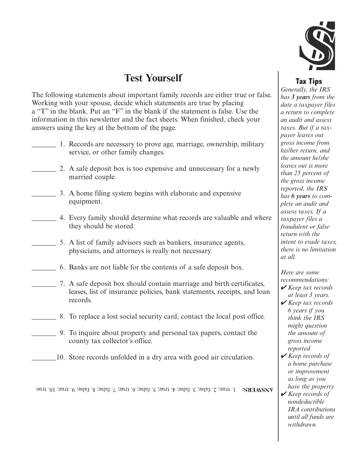

## **Test Yourself**

The following statements about important family records are either true or false. Working with your spouse, decide which statements are true by placing a "T" in the blank. Put an "F" in the blank if the statement is false. Use the information in this newsletter and the fact sheets. When finished, check your answers using the key at the bottom of the page.

- \_\_\_\_\_\_\_ 1. Records are necessary to prove age, marriage, ownership, military service, or other family changes.
- 2. A safe deposit box is too expensive and unnecessary for a newly married couple.
- \_\_\_\_\_\_\_ 3. A home filing system begins with elaborate and expensive equipment.
- \_\_\_\_\_\_\_ 4. Every family should determine what records are valuable and where they should be stored.
- \_\_\_\_\_\_\_ 5. A list of family advisors such as bankers, insurance agents, physicians, and attorneys is really not necessary.
- \_\_\_\_\_\_\_ 6. Banks are not liable for the contents of a safe deposit box.
- \_\_\_\_\_\_\_ 7. A safe deposit box should contain marriage and birth certificates, leases, list of insurance policies, bank statements, receipts, and loan records.
- \_\_\_\_\_\_\_ 8. To replace a lost social security card, contact the local post office.
	- \_\_\_\_\_\_\_ 9. To inquire about property and personal tax papers, contact the county tax collector's office.
- \_\_\_\_\_\_\_10. Store records unfolded in a dry area with good air circulation.

1. true; 2. false; 3. false; 4. true; 5. false; 6. true; 7. false; 8. false; 9. true; 10. true **ANSWERS:**

### **Tax Tips**

*Generally, the IRS has 3 years from the date a taxpayer files a return to complete an audit and assess taxes. But if a taxpayer leaves out gross income from his/her return, and the amount he/she leaves out is more than 25 percent of the gross income reported, the IRS has 6 years to complete an audit and assess taxes. If a taxpayer files a fraudulent or false return with the intent to evade taxes, there is no limitation at all.*

*Here are some recommendations:*

- ✔ *Keep tax records at least 3 years.*
- ✔ *Keep tax records 6 years if you think the IRS might question the amount of gross income reported.*
- ✔ *Keep records of a home purchase or improvement as long as you have the property.*
- ✔ *Keep records of nondeductible IRA contributions until all funds are withdrawn.*